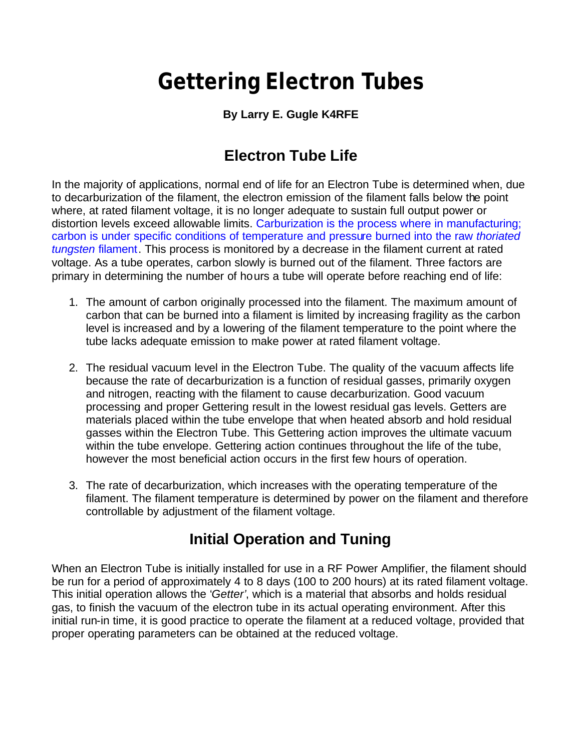# **Gettering Electron Tubes**

#### **By Larry E. Gugle K4RFE**

## **Electron Tube Life**

In the majority of applications, normal end of life for an Electron Tube is determined when, due to decarburization of the filament, the electron emission of the filament falls below the point where, at rated filament voltage, it is no longer adequate to sustain full output power or distortion levels exceed allowable limits. Carburization is the process where in manufacturing; carbon is under specific conditions of temperature and pressure burned into the raw *thoriated tungsten* filament. This process is monitored by a decrease in the filament current at rated voltage. As a tube operates, carbon slowly is burned out of the filament. Three factors are primary in determining the number of hours a tube will operate before reaching end of life:

- 1. The amount of carbon originally processed into the filament. The maximum amount of carbon that can be burned into a filament is limited by increasing fragility as the carbon level is increased and by a lowering of the filament temperature to the point where the tube lacks adequate emission to make power at rated filament voltage.
- 2. The residual vacuum level in the Electron Tube. The quality of the vacuum affects life because the rate of decarburization is a function of residual gasses, primarily oxygen and nitrogen, reacting with the filament to cause decarburization. Good vacuum processing and proper Gettering result in the lowest residual gas levels. Getters are materials placed within the tube envelope that when heated absorb and hold residual gasses within the Electron Tube. This Gettering action improves the ultimate vacuum within the tube envelope. Gettering action continues throughout the life of the tube, however the most beneficial action occurs in the first few hours of operation.
- 3. The rate of decarburization, which increases with the operating temperature of the filament. The filament temperature is determined by power on the filament and therefore controllable by adjustment of the filament voltage.

### **Initial Operation and Tuning**

When an Electron Tube is initially installed for use in a RF Power Amplifier, the filament should be run for a period of approximately 4 to 8 days (100 to 200 hours) at its rated filament voltage. This initial operation allows the '*Getter'*, which is a material that absorbs and holds residual gas, to finish the vacuum of the electron tube in its actual operating environment. After this initial run-in time, it is good practice to operate the filament at a reduced voltage, provided that proper operating parameters can be obtained at the reduced voltage.